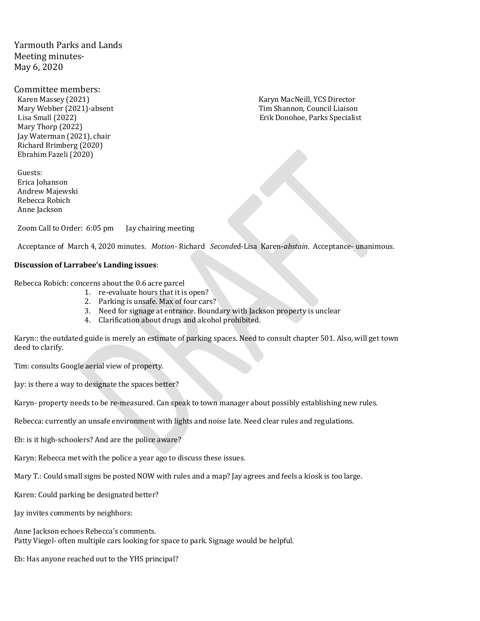Yarmouth Parks and Lands Meeting minutes-May 6, 2020

Committee members:

Karen Massey (2021)<br>Mary Webber (2021) Karyn MacNeill, YCS Director<br>Mary Webber (2021)-absent Karyn MacNetton, Tim Shannon, Council Liaison Mary Thorp (2022) Jay Waterman (2021), chair Richard Brimberg (2020) Ebrahim Fazeli (2020)

Guests: Erica Johanson Andrew Majewski Rebecca Robich Anne Jackson

Zoom Call to Order: 6:05 pm Jay chairing meeting

Acceptance of March 4, 2020 minutes. *Motion*- Richard *Seconde*d-Lisa Karen-*abstain*. Acceptance- unanimous.

#### **Discussion of Larrabee's Landing issues**:

Rebecca Robich: concerns about the 0.6 acre parcel

- 1. re-evaluate hours that it is open?
- 2. Parking is unsafe. Max of four cars?
- 3. Need for signage at entrance. Boundary with Jackson property is unclear
- 4. Clarification about drugs and alcohol prohibited.

Karyn:: the outdated guide is merely an estimate of parking spaces. Need to consult chapter 501. Also, will get town deed to clarify.

Tim: consults Google aerial view of property.

Jay: is there a way to designate the spaces better?

Karyn- property needs to be re-measured. Can speak to town manager about possibly establishing new rules.

Rebecca: currently an unsafe environment with lights and noise late. Need clear rules and regulations.

Eb: is it high-schoolers? And are the police aware?

Karyn: Rebecca met with the police a year ago to discuss these issues.

Mary T.: Could small signs be posted NOW with rules and a map? Jay agrees and feels a kiosk is too large.

Karen: Could parking be designated better?

Jay invites comments by neighbors:

Anne Jackson echoes Rebecca's comments. Patty Viegel- often multiple cars looking for space to park. Signage would be helpful.

Eb: Has anyone reached out to the YHS principal?

Tim Shannon, Council Liaison Lisa Small (2022) Erik Donohoe, Parks Specialist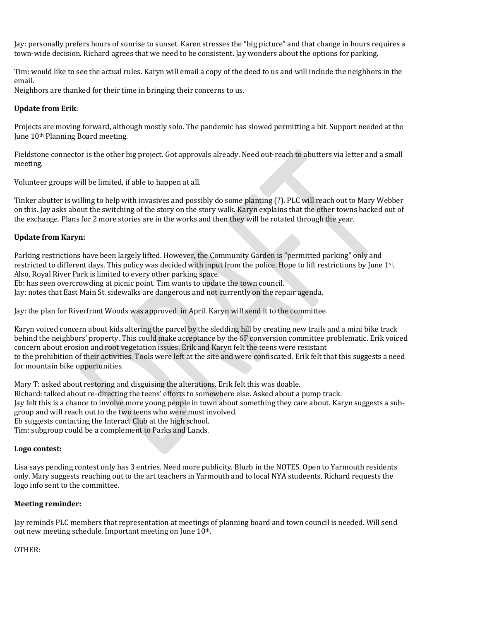Jay: personally prefers hours of sunrise to sunset. Karen stresses the "big picture" and that change in hours requires a town-wide decision. Richard agrees that we need to be consistent. Jay wonders about the options for parking.

Tim: would like to see the actual rules. Karyn will email a copy of the deed to us and will include the neighbors in the email.

Neighbors are thanked for their time in bringing their concerns to us.

# **Update from Erik**:

Projects are moving forward, although mostly solo. The pandemic has slowed permitting a bit. Support needed at the June 10th Planning Board meeting.

Fieldstone connector is the other big project. Got approvals already. Need out-reach to abutters via letter and a small meeting.

Volunteer groups will be limited, if able to happen at all.

Tinker abutter is willing to help with invasives and possibly do some planting (?). PLC will reach out to Mary Webber on this. Jay asks about the switching of the story on the story walk. Karyn explains that the other towns backed out of the exchange. Plans for 2 more stories are in the works and then they will be rotated through the year.

## **Update from Karyn:**

Parking restrictions have been largely lifted. However, the Community Garden is "permitted parking" only and restricted to different days. This policy was decided with input from the police. Hope to lift restrictions by June 1st. Also, Royal River Park is limited to every other parking space.

Eb: has seen overcrowding at picnic point. Tim wants to update the town council.

Jay: notes that East Main St. sidewalks are dangerous and not currently on the repair agenda.

Jay: the plan for Riverfront Woods was approved in April. Karyn will send it to the committee.

Karyn voiced concern about kids altering the parcel by the sledding hill by creating new trails and a mini bike track behind the neighbors' property. This could make acceptance by the 6F conversion committee problematic. Erik voiced concern about erosion and root vegetation issues. Erik and Karyn felt the teens were resistant to the prohibition of their activities. Tools were left at the site and were confiscated. Erik felt that this suggests a need for mountain bike opportunities.

Mary T: asked about restoring and disguising the alterations. Erik felt this was doable. Richard: talked about re-directing the teens' efforts to somewhere else. Asked about a pump track. Jay felt this is a chance to involve more young people in town about something they care about. Karyn suggests a subgroup and will reach out to the two teens who were most involved. Eb suggests contacting the Interact Club at the high school. Tim: subgroup could be a complement to Parks and Lands.

### **Logo contest:**

Lisa says pending contest only has 3 entries. Need more publicity. Blurb in the NOTES. Open to Yarmouth residents only. Mary suggests reaching out to the art teachers in Yarmouth and to local NYA studeents. Richard requests the logo info sent to the committee.

### **Meeting reminder:**

Jay reminds PLC members that representation at meetings of planning board and town council is needed. Will send out new meeting schedule. Important meeting on June 10<sup>th</sup>.

### OTHER: